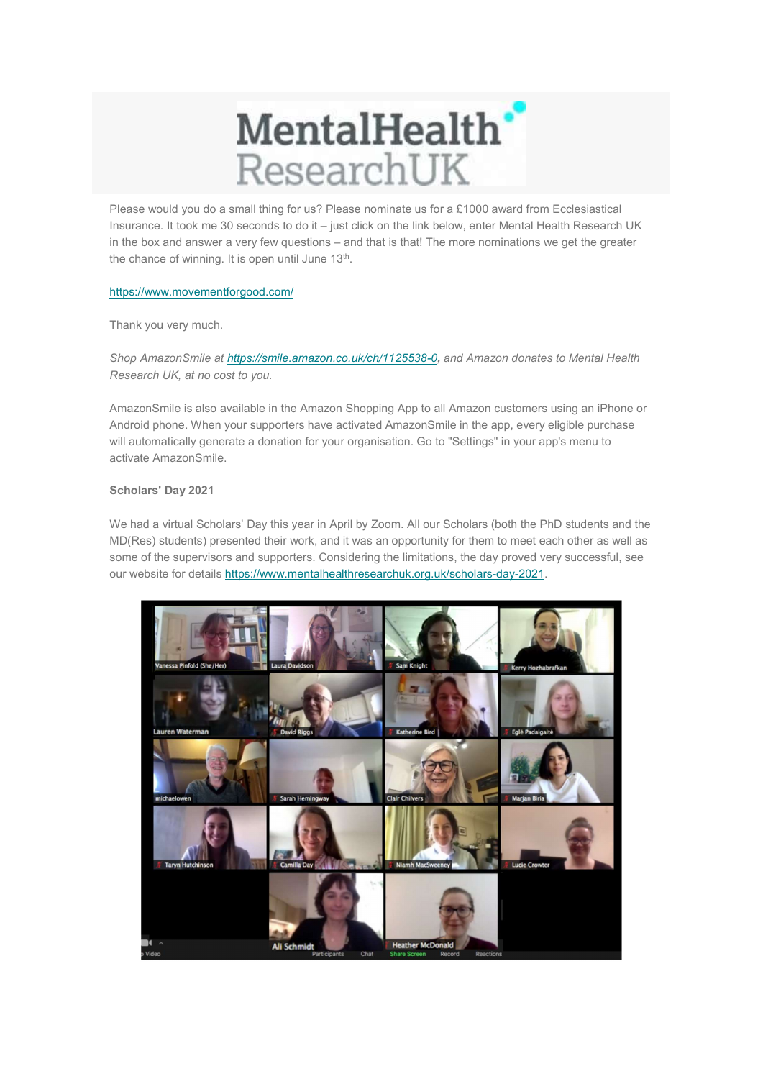## MentalHealth<sup>®</sup> ResearchUK

Please would you do a small thing for us? Please nominate us for a £1000 award from Ecclesiastical Insurance. It took me 30 seconds to do it – just click on the link below, enter Mental Health Research UK in the box and answer a very few questions – and that is that! The more nominations we get the greater the chance of winning. It is open until June  $13<sup>th</sup>$ .

## https://www.movementforgood.com/

Thank you very much.

Shop AmazonSmile at https://smile.amazon.co.uk/ch/1125538-0, and Amazon donates to Mental Health Research UK, at no cost to you.

AmazonSmile is also available in the Amazon Shopping App to all Amazon customers using an iPhone or Android phone. When your supporters have activated AmazonSmile in the app, every eligible purchase will automatically generate a donation for your organisation. Go to "Settings" in your app's menu to activate AmazonSmile.

## Scholars' Day 2021

We had a virtual Scholars' Day this year in April by Zoom. All our Scholars (both the PhD students and the MD(Res) students) presented their work, and it was an opportunity for them to meet each other as well as some of the supervisors and supporters. Considering the limitations, the day proved very successful, see our website for details https://www.mentalhealthresearchuk.org.uk/scholars-day-2021.